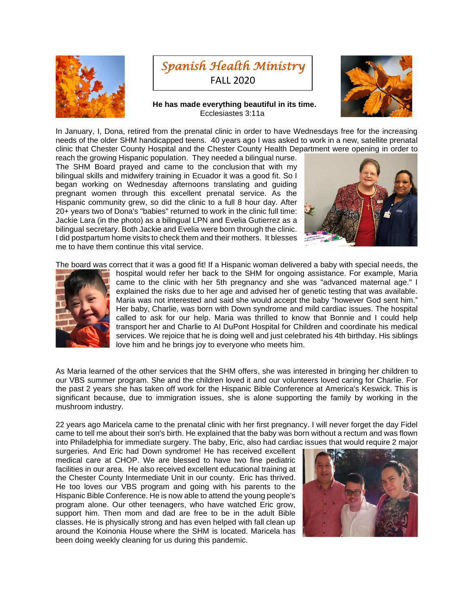



## **He has made everything beautiful in its time.** Ecclesiastes 3:11a



In January, I, Dona, retired from the prenatal clinic in order to have Wednesdays free for the increasing needs of the older SHM handicapped teens. 40 years ago I was asked to work in a new, satellite prenatal clinic that Chester County Hospital and the Chester County Health Department were opening in order to

reach the growing Hispanic population. They needed a bilingual nurse. The SHM Board prayed and came to the conclusion that with my bilingual skills and midwifery training in Ecuador it was a good fit. So I began working on Wednesday afternoons translating and guiding pregnant women through this excellent prenatal service. As the Hispanic community grew, so did the clinic to a full 8 hour day. After 20+ years two of Dona's "babies" returned to work in the clinic full time: Jackie Lara (in the photo) as a bilingual LPN and Evelia Gutierrez as a bilingual secretary. Both Jackie and Evelia were born through the clinic. I did postpartum home visits to check them and their mothers. It blesses me to have them continue this vital service.



The board was correct that it was a good fit! If a Hispanic woman delivered a baby with special needs, the



hospital would refer her back to the SHM for ongoing assistance. For example, Maria came to the clinic with her 5th pregnancy and she was "advanced maternal age." I explained the risks due to her age and advised her of genetic testing that was available. Maria was not interested and said she would accept the baby "however God sent him." Her baby, Charlie, was born with Down syndrome and mild cardiac issues. The hospital called to ask for our help. Maria was thrilled to know that Bonnie and I could help transport her and Charlie to AI DuPont Hospital for Children and coordinate his medical services. We rejoice that he is doing well and just celebrated his 4th birthday. His siblings love him and he brings joy to everyone who meets him.

As Maria learned of the other services that the SHM offers, she was interested in bringing her children to our VBS summer program. She and the children loved it and our volunteers loved caring for Charlie. For the past 2 years she has taken off work for the Hispanic Bible Conference at America's Keswick. This is significant because, due to immigration issues, she is alone supporting the family by working in the mushroom industry.

22 years ago Maricela came to the prenatal clinic with her first pregnancy. I will never forget the day Fidel came to tell me about their son's birth. He explained that the baby was born without a rectum and was flown into Philadelphia for immediate surgery. The baby, Eric, also had cardiac issues that would require 2 major

surgeries. And Eric had Down syndrome! He has received excellent medical care at CHOP. We are blessed to have two fine pediatric facilities in our area. He also received excellent educational training at the Chester County Intermediate Unit in our county. Eric has thrived. He too loves our VBS program and going with his parents to the Hispanic Bible Conference. He is now able to attend the young people's program alone. Our other teenagers, who have watched Eric grow, support him. Then mom and dad are free to be in the adult Bible classes. He is physically strong and has even helped with fall clean up around the Koinonia House where the SHM is located. Maricela has been doing weekly cleaning for us during this pandemic.